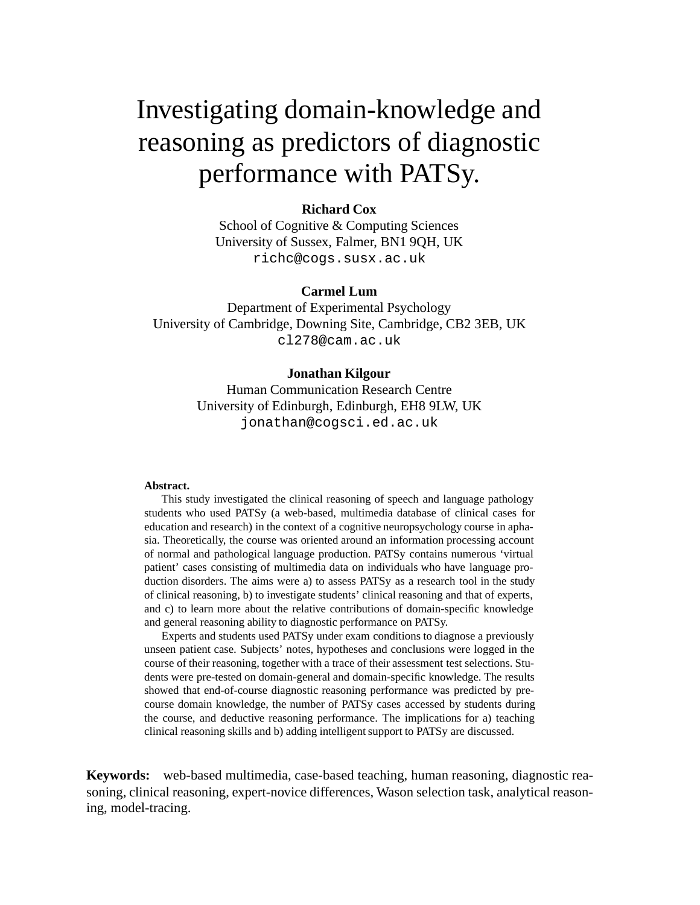# Investigating domain-knowledge and reasoning as predictors of diagnostic performance with PATSy.

## **Richard Cox**

School of Cognitive & Computing Sciences University of Sussex, Falmer, BN1 9QH, UK richc@cogs.susx.ac.uk

#### **Carmel Lum**

Department of Experimental Psychology University of Cambridge, Downing Site, Cambridge, CB2 3EB, UK cl278@cam.ac.uk

#### **Jonathan Kilgour**

Human Communication Research Centre University of Edinburgh, Edinburgh, EH8 9LW, UK jonathan@cogsci.ed.ac.uk

#### **Abstract.**

This study investigated the clinical reasoning of speech and language pathology students who used PATSy (a web-based, multimedia database of clinical cases for education and research) in the context of a cognitive neuropsychology course in aphasia. Theoretically, the course was oriented around an information processing account of normal and pathological language production. PATSy contains numerous 'virtual patient' cases consisting of multimedia data on individuals who have language production disorders. The aims were a) to assess PATSy as a research tool in the study of clinical reasoning, b) to investigate students' clinical reasoning and that of experts, and c) to learn more about the relative contributions of domain-specific knowledge and general reasoning ability to diagnostic performance on PATSy.

Experts and students used PATSy under exam conditions to diagnose a previously unseen patient case. Subjects' notes, hypotheses and conclusions were logged in the course of their reasoning, together with a trace of their assessment test selections. Students were pre-tested on domain-general and domain-specific knowledge. The results showed that end-of-course diagnostic reasoning performance was predicted by precourse domain knowledge, the number of PATSy cases accessed by students during the course, and deductive reasoning performance. The implications for a) teaching clinical reasoning skills and b) adding intelligent support to PATSy are discussed.

**Keywords:** web-based multimedia, case-based teaching, human reasoning, diagnostic reasoning, clinical reasoning, expert-novice differences, Wason selection task, analytical reasoning, model-tracing.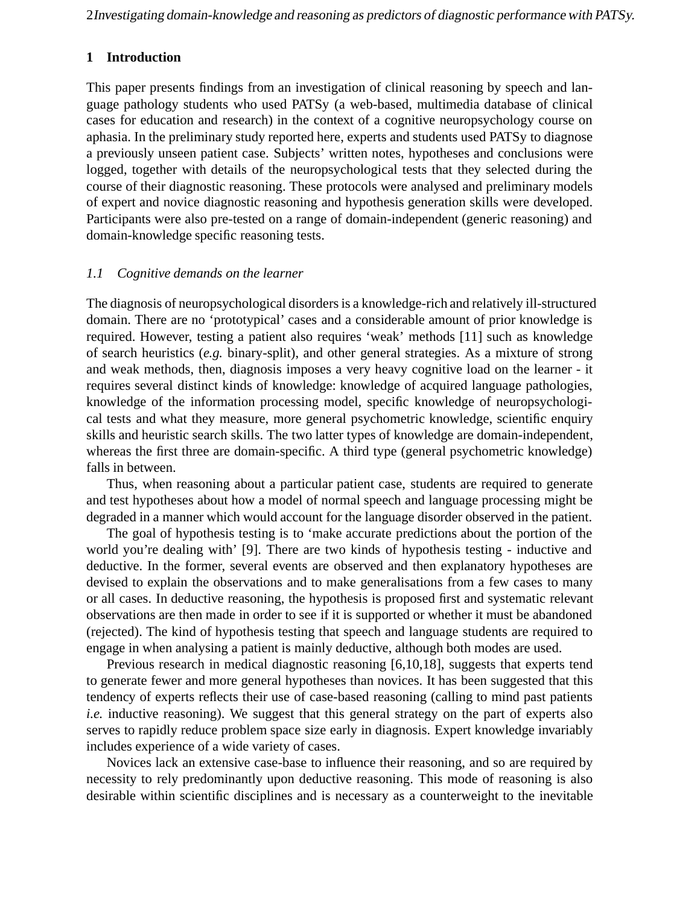2Investigating domain-knowledge and reasoning as predictors of diagnostic performance with PATSy.

# **1 Introduction**

This paper presents findings from an investigation of clinical reasoning by speech and language pathology students who used PATSy (a web-based, multimedia database of clinical cases for education and research) in the context of a cognitive neuropsychology course on aphasia. In the preliminary study reported here, experts and students used PATSy to diagnose a previously unseen patient case. Subjects' written notes, hypotheses and conclusions were logged, together with details of the neuropsychological tests that they selected during the course of their diagnostic reasoning. These protocols were analysed and preliminary models of expert and novice diagnostic reasoning and hypothesis generation skills were developed. Participants were also pre-tested on a range of domain-independent (generic reasoning) and domain-knowledge specific reasoning tests.

## *1.1 Cognitive demands on the learner*

The diagnosis of neuropsychological disorders is a knowledge-rich and relatively ill-structured domain. There are no 'prototypical' cases and a considerable amount of prior knowledge is required. However, testing a patient also requires 'weak' methods [11] such as knowledge of search heuristics (*e.g.* binary-split), and other general strategies. As a mixture of strong and weak methods, then, diagnosis imposes a very heavy cognitive load on the learner - it requires several distinct kinds of knowledge: knowledge of acquired language pathologies, knowledge of the information processing model, specific knowledge of neuropsychological tests and what they measure, more general psychometric knowledge, scientific enquiry skills and heuristic search skills. The two latter types of knowledge are domain-independent, whereas the first three are domain-specific. A third type (general psychometric knowledge) falls in between.

Thus, when reasoning about a particular patient case, students are required to generate and test hypotheses about how a model of normal speech and language processing might be degraded in a manner which would account for the language disorder observed in the patient.

The goal of hypothesis testing is to 'make accurate predictions about the portion of the world you're dealing with' [9]. There are two kinds of hypothesis testing - inductive and deductive. In the former, several events are observed and then explanatory hypotheses are devised to explain the observations and to make generalisations from a few cases to many or all cases. In deductive reasoning, the hypothesis is proposed first and systematic relevant observations are then made in order to see if it is supported or whether it must be abandoned (rejected). The kind of hypothesis testing that speech and language students are required to engage in when analysing a patient is mainly deductive, although both modes are used.

Previous research in medical diagnostic reasoning [6,10,18], suggests that experts tend to generate fewer and more general hypotheses than novices. It has been suggested that this tendency of experts reflects their use of case-based reasoning (calling to mind past patients *i.e.* inductive reasoning). We suggest that this general strategy on the part of experts also serves to rapidly reduce problem space size early in diagnosis. Expert knowledge invariably includes experience of a wide variety of cases.

Novices lack an extensive case-base to influence their reasoning, and so are required by necessity to rely predominantly upon deductive reasoning. This mode of reasoning is also desirable within scientific disciplines and is necessary as a counterweight to the inevitable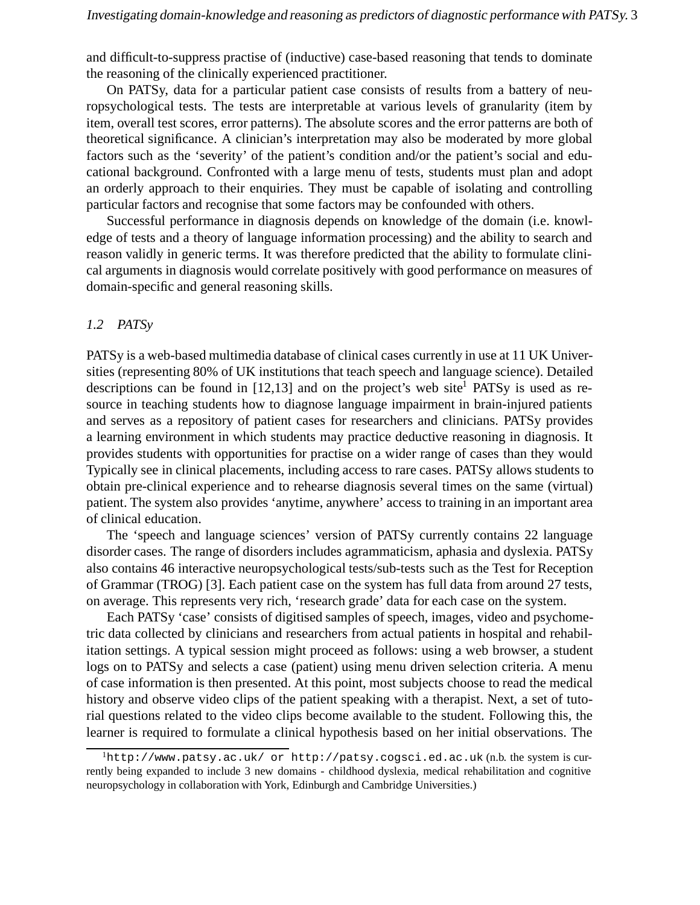and difficult-to-suppress practise of (inductive) case-based reasoning that tends to dominate the reasoning of the clinically experienced practitioner.

On PATSy, data for a particular patient case consists of results from a battery of neuropsychological tests. The tests are interpretable at various levels of granularity (item by item, overall test scores, error patterns). The absolute scores and the error patterns are both of theoretical significance. A clinician's interpretation may also be moderated by more global factors such as the 'severity' of the patient's condition and/or the patient's social and educational background. Confronted with a large menu of tests, students must plan and adopt an orderly approach to their enquiries. They must be capable of isolating and controlling particular factors and recognise that some factors may be confounded with others.

Successful performance in diagnosis depends on knowledge of the domain (i.e. knowledge of tests and a theory of language information processing) and the ability to search and reason validly in generic terms. It was therefore predicted that the ability to formulate clinical arguments in diagnosis would correlate positively with good performance on measures of domain-specific and general reasoning skills.

## *1.2 PATSy*

PATSy is a web-based multimedia database of clinical cases currently in use at 11 UK Universities (representing 80% of UK institutions that teach speech and language science). Detailed descriptions can be found in  $[12,13]$  and on the project's web site<sup>1</sup> PATSy is used as resource in teaching students how to diagnose language impairment in brain-injured patients and serves as a repository of patient cases for researchers and clinicians. PATSy provides a learning environment in which students may practice deductive reasoning in diagnosis. It provides students with opportunities for practise on a wider range of cases than they would Typically see in clinical placements, including access to rare cases. PATSy allows students to obtain pre-clinical experience and to rehearse diagnosis several times on the same (virtual) patient. The system also provides 'anytime, anywhere' access to training in an important area of clinical education.

The 'speech and language sciences' version of PATSy currently contains 22 language disorder cases. The range of disorders includes agrammaticism, aphasia and dyslexia. PATSy also contains 46 interactive neuropsychological tests/sub-tests such as the Test for Reception of Grammar (TROG) [3]. Each patient case on the system has full data from around 27 tests, on average. This represents very rich, 'research grade' data for each case on the system.

Each PATSy 'case' consists of digitised samples of speech, images, video and psychometric data collected by clinicians and researchers from actual patients in hospital and rehabilitation settings. A typical session might proceed as follows: using a web browser, a student logs on to PATSy and selects a case (patient) using menu driven selection criteria. A menu of case information is then presented. At this point, most subjects choose to read the medical history and observe video clips of the patient speaking with a therapist. Next, a set of tutorial questions related to the video clips become available to the student. Following this, the learner is required to formulate a clinical hypothesis based on her initial observations. The

 ${}^{1}$ http://www.patsy.ac.uk/ or http://patsy.cogsci.ed.ac.uk (n.b. the system is currently being expanded to include 3 new domains - childhood dyslexia, medical rehabilitation and cognitive neuropsychology in collaboration with York, Edinburgh and Cambridge Universities.)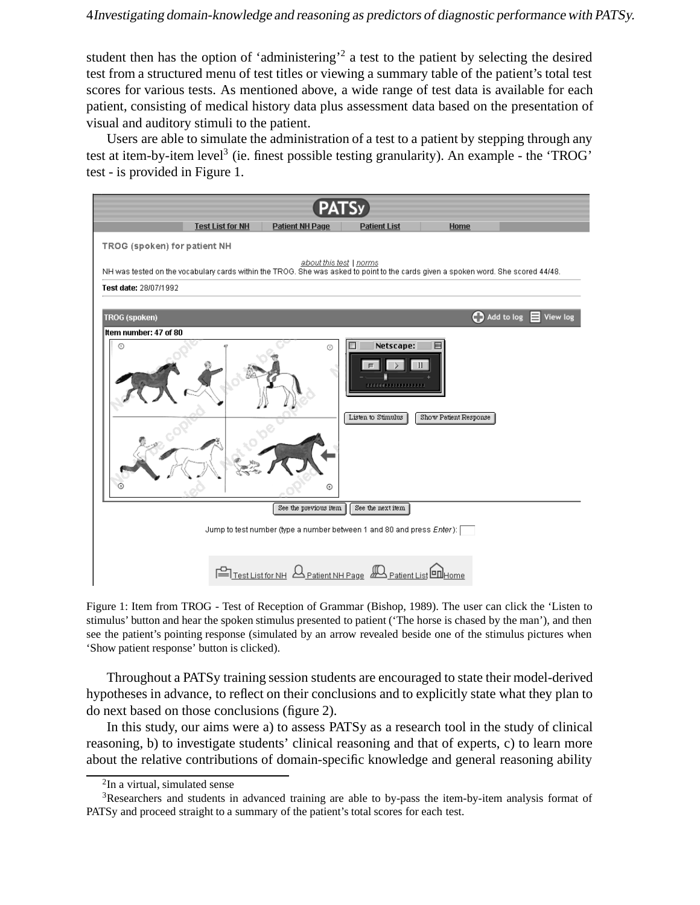student then has the option of 'administering'<sup>2</sup> a test to the patient by selecting the desired test from a structured menu of test titles or viewing a summary table of the patient's total test scores for various tests. As mentioned above, a wide range of test data is available for each patient, consisting of medical history data plus assessment data based on the presentation of visual and auditory stimuli to the patient.

Users are able to simulate the administration of a test to a patient by stepping through any test at item-by-item level<sup>3</sup> (ie. finest possible testing granularity). An example - the 'TROG' test - is provided in Figure 1.



Figure 1: Item from TROG - Test of Reception of Grammar (Bishop, 1989). The user can click the 'Listen to stimulus' button and hear the spoken stimulus presented to patient ('The horse is chased by the man'), and then see the patient's pointing response (simulated by an arrow revealed beside one of the stimulus pictures when 'Show patient response' button is clicked).

Throughout a PATSy training session students are encouraged to state their model-derived hypotheses in advance, to reflect on their conclusions and to explicitly state what they plan to do next based on those conclusions (figure 2).

In this study, our aims were a) to assess PATSy as a research tool in the study of clinical reasoning, b) to investigate students' clinical reasoning and that of experts, c) to learn more about the relative contributions of domain-specific knowledge and general reasoning ability

<sup>2</sup>In a virtual, simulated sense

<sup>&</sup>lt;sup>3</sup>Researchers and students in advanced training are able to by-pass the item-by-item analysis format of PATSy and proceed straight to a summary of the patient's total scores for each test.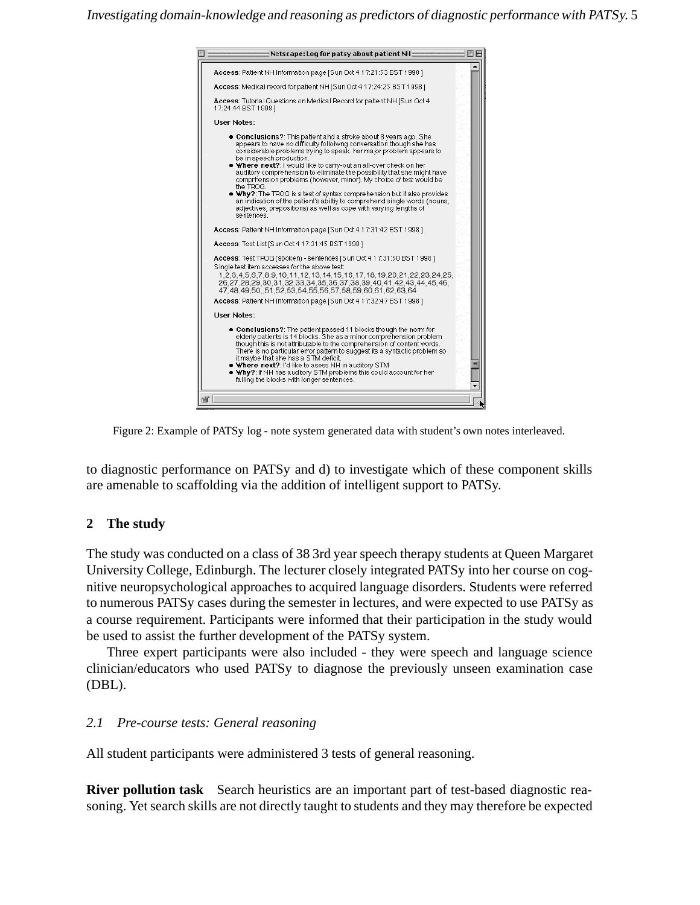

Figure 2: Example of PATSy log - note system generated data with student's own notes interleaved.

to diagnostic performance on PATSy and d) to investigate which of these component skills are amenable to scaffolding via the addition of intelligent support to PATSy.

# **2 The study**

The study was conducted on a class of 38 3rd year speech therapy students at Queen Margaret University College, Edinburgh. The lecturer closely integrated PATSy into her course on cognitive neuropsychological approaches to acquired language disorders. Students were referred to numerous PATSy cases during the semester in lectures, and were expected to use PATSy as a course requirement. Participants were informed that their participation in the study would be used to assist the further development of the PATSy system.

Three expert participants were also included - they were speech and language science clinician/educators who used PATSy to diagnose the previously unseen examination case (DBL).

## *2.1 Pre-course tests: General reasoning*

All student participants were administered 3 tests of general reasoning.

**River pollution task** Search heuristics are an important part of test-based diagnostic reasoning. Yet search skills are not directly taught to students and they may therefore be expected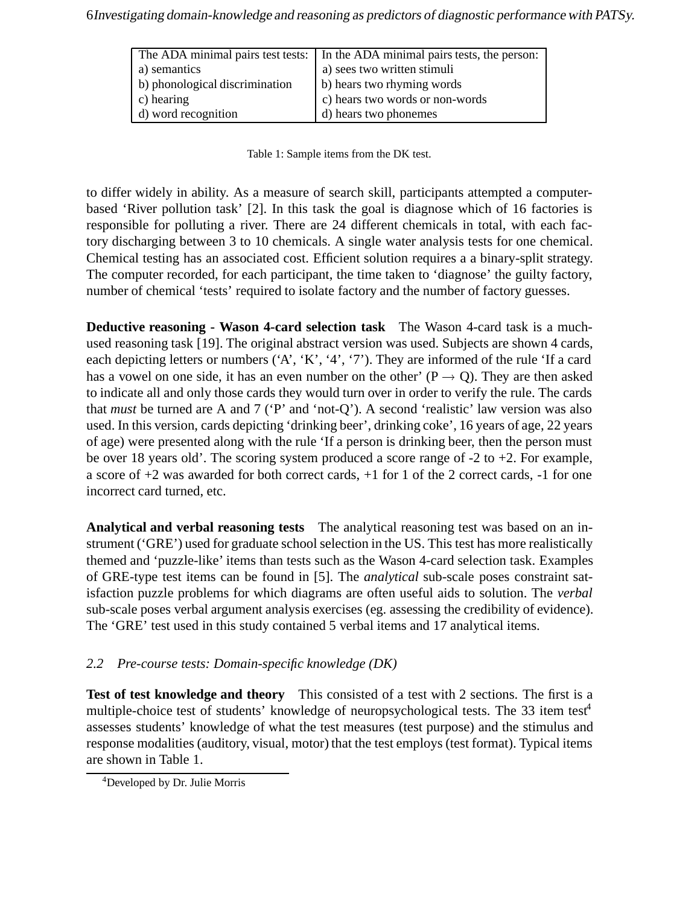|                                | The ADA minimal pairs test tests: In the ADA minimal pairs tests, the person: |
|--------------------------------|-------------------------------------------------------------------------------|
| a) semantics                   | a) sees two written stimuli                                                   |
| b) phonological discrimination | b) hears two rhyming words                                                    |
| c) hearing                     | c) hears two words or non-words                                               |
| d) word recognition            | d) hears two phonemes                                                         |

Table 1: Sample items from the DK test.

to differ widely in ability. As a measure of search skill, participants attempted a computerbased 'River pollution task' [2]. In this task the goal is diagnose which of 16 factories is responsible for polluting a river. There are 24 different chemicals in total, with each factory discharging between 3 to 10 chemicals. A single water analysis tests for one chemical. Chemical testing has an associated cost. Efficient solution requires a a binary-split strategy. The computer recorded, for each participant, the time taken to 'diagnose' the guilty factory, number of chemical 'tests' required to isolate factory and the number of factory guesses.

**Deductive reasoning - Wason 4-card selection task** The Wason 4-card task is a muchused reasoning task [19]. The original abstract version was used. Subjects are shown 4 cards, each depicting letters or numbers ('A', 'K', '4', '7'). They are informed of the rule 'If a card has a vowel on one side, it has an even number on the other'  $(P \rightarrow Q)$ . They are then asked to indicate all and only those cards they would turn over in order to verify the rule. The cards that *must* be turned are A and 7 ('P' and 'not-Q'). A second 'realistic' law version was also used. In this version, cards depicting 'drinking beer', drinking coke', 16 years of age, 22 years of age) were presented along with the rule 'If a person is drinking beer, then the person must be over 18 years old'. The scoring system produced a score range of -2 to +2. For example, a score of +2 was awarded for both correct cards, +1 for 1 of the 2 correct cards, -1 for one incorrect card turned, etc.

**Analytical and verbal reasoning tests** The analytical reasoning test was based on an instrument ('GRE') used for graduate school selection in the US. This test has more realistically themed and 'puzzle-like' items than tests such as the Wason 4-card selection task. Examples of GRE-type test items can be found in [5]. The *analytical* sub-scale poses constraint satisfaction puzzle problems for which diagrams are often useful aids to solution. The *verbal* sub-scale poses verbal argument analysis exercises (eg. assessing the credibility of evidence). The 'GRE' test used in this study contained 5 verbal items and 17 analytical items.

# *2.2 Pre-course tests: Domain-specific knowledge (DK)*

**Test of test knowledge and theory** This consisted of a test with 2 sections. The first is a multiple-choice test of students' knowledge of neuropsychological tests. The 33 item test<sup>4</sup> assesses students' knowledge of what the test measures (test purpose) and the stimulus and response modalities (auditory, visual, motor) that the test employs (test format). Typical items are shown in Table 1.

<sup>4</sup>Developed by Dr. Julie Morris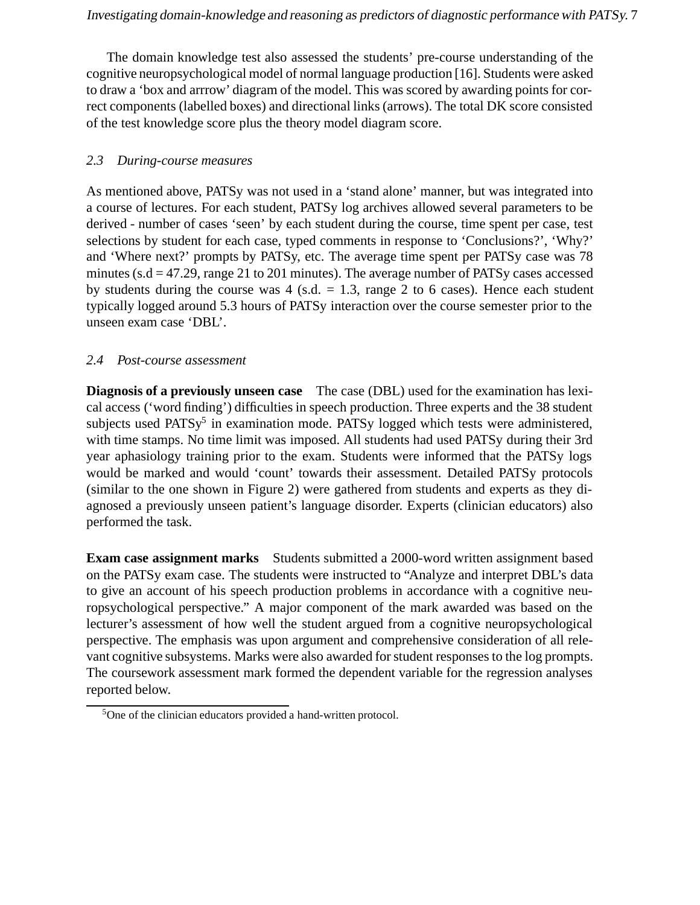The domain knowledge test also assessed the students' pre-course understanding of the cognitive neuropsychological model of normal language production [16]. Students were asked to draw a 'box and arrrow' diagram of the model. This was scored by awarding points for correct components (labelled boxes) and directional links (arrows). The total DK score consisted of the test knowledge score plus the theory model diagram score.

# *2.3 During-course measures*

As mentioned above, PATSy was not used in a 'stand alone' manner, but was integrated into a course of lectures. For each student, PATSy log archives allowed several parameters to be derived - number of cases 'seen' by each student during the course, time spent per case, test selections by student for each case, typed comments in response to 'Conclusions?', 'Why?' and 'Where next?' prompts by PATSy, etc. The average time spent per PATSy case was 78 minutes ( $s.d = 47.29$ , range 21 to 201 minutes). The average number of PATSy cases accessed by students during the course was  $4$  (s.d.  $= 1.3$ , range 2 to 6 cases). Hence each student typically logged around 5.3 hours of PATSy interaction over the course semester prior to the unseen exam case 'DBL'.

# *2.4 Post-course assessment*

**Diagnosis of a previously unseen case** The case (DBL) used for the examination has lexical access ('word finding') difficulties in speech production. Three experts and the 38 student subjects used  $PATSy<sup>5</sup>$  in examination mode. PATSy logged which tests were administered, with time stamps. No time limit was imposed. All students had used PATSy during their 3rd year aphasiology training prior to the exam. Students were informed that the PATSy logs would be marked and would 'count' towards their assessment. Detailed PATSy protocols (similar to the one shown in Figure 2) were gathered from students and experts as they diagnosed a previously unseen patient's language disorder. Experts (clinician educators) also performed the task.

**Exam case assignment marks** Students submitted a 2000-word written assignment based on the PATSy exam case. The students were instructed to "Analyze and interpret DBL's data to give an account of his speech production problems in accordance with a cognitive neuropsychological perspective." A major component of the mark awarded was based on the lecturer's assessment of how well the student argued from a cognitive neuropsychological perspective. The emphasis was upon argument and comprehensive consideration of all relevant cognitive subsystems. Marks were also awarded for student responses to the log prompts. The coursework assessment mark formed the dependent variable for the regression analyses reported below.

 $5$ One of the clinician educators provided a hand-written protocol.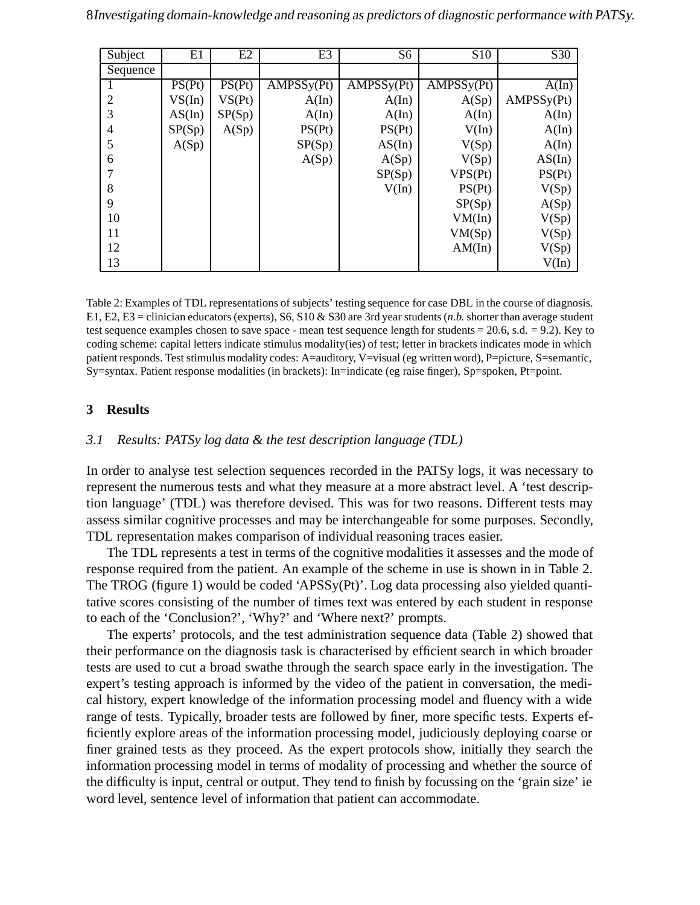| Subject        | E1     | E2     | E <sub>3</sub> | S <sub>6</sub> | S <sub>10</sub> | S30        |
|----------------|--------|--------|----------------|----------------|-----------------|------------|
| Sequence       |        |        |                |                |                 |            |
| 1              | PS(Pt) | PS(Pt) | AMPSSy(Pt)     | AMPSSy(Pt)     | AMPSSy(Pt)      | A(In)      |
| 2              | VS(In) | VS(Pt) | A(In)          | A(In)          | A(Sp)           | AMPSSy(Pt) |
| 3              | AS(In) | SP(Sp) | A(In)          | A(In)          | A(In)           | A(In)      |
| $\overline{4}$ | SP(Sp) | A(Sp)  | PS(Pt)         | PS(Pt)         | V(In)           | A(In)      |
| 5              | A(Sp)  |        | SP(Sp)         | AS(In)         | V(Sp)           | A(In)      |
| 6              |        |        | A(Sp)          | A(Sp)          | V(Sp)           | AS(In)     |
| 7              |        |        |                | SP(Sp)         | VPS(Pt)         | PS(Pt)     |
| 8              |        |        |                | V(In)          | PS(Pt)          | V(Sp)      |
| 9              |        |        |                |                | SP(Sp)          | A(Sp)      |
| 10             |        |        |                |                | VM(In)          | V(Sp)      |
| 11             |        |        |                |                | VM(Sp)          | V(Sp)      |
| 12             |        |        |                |                | AM(In)          | V(Sp)      |
| 13             |        |        |                |                |                 | V(In)      |

Table 2: Examples of TDL representations of subjects' testing sequence for case DBL in the course of diagnosis. E1, E2, E3 = clinician educators (experts), S6, S10 & S30 are 3rd year students (*n.b.* shorter than average student test sequence examples chosen to save space - mean test sequence length for students = 20.6, s.d. = 9.2). Key to coding scheme: capital letters indicate stimulus modality(ies) of test; letter in brackets indicates mode in which patient responds. Test stimulus modality codes: A=auditory, V=visual (eg written word), P=picture, S=semantic, Sy=syntax. Patient response modalities (in brackets): In=indicate (eg raise finger), Sp=spoken, Pt=point.

## **3 Results**

## *3.1 Results: PATSy log data & the test description language (TDL)*

In order to analyse test selection sequences recorded in the PATSy logs, it was necessary to represent the numerous tests and what they measure at a more abstract level. A 'test description language' (TDL) was therefore devised. This was for two reasons. Different tests may assess similar cognitive processes and may be interchangeable for some purposes. Secondly, TDL representation makes comparison of individual reasoning traces easier.

The TDL represents a test in terms of the cognitive modalities it assesses and the mode of response required from the patient. An example of the scheme in use is shown in in Table 2. The TROG (figure 1) would be coded 'APSSy(Pt)'. Log data processing also yielded quantitative scores consisting of the number of times text was entered by each student in response to each of the 'Conclusion?', 'Why?' and 'Where next?' prompts.

The experts' protocols, and the test administration sequence data (Table 2) showed that their performance on the diagnosis task is characterised by efficient search in which broader tests are used to cut a broad swathe through the search space early in the investigation. The expert's testing approach is informed by the video of the patient in conversation, the medical history, expert knowledge of the information processing model and fluency with a wide range of tests. Typically, broader tests are followed by finer, more specific tests. Experts efficiently explore areas of the information processing model, judiciously deploying coarse or finer grained tests as they proceed. As the expert protocols show, initially they search the information processing model in terms of modality of processing and whether the source of the difficulty is input, central or output. They tend to finish by focussing on the 'grain size' ie word level, sentence level of information that patient can accommodate.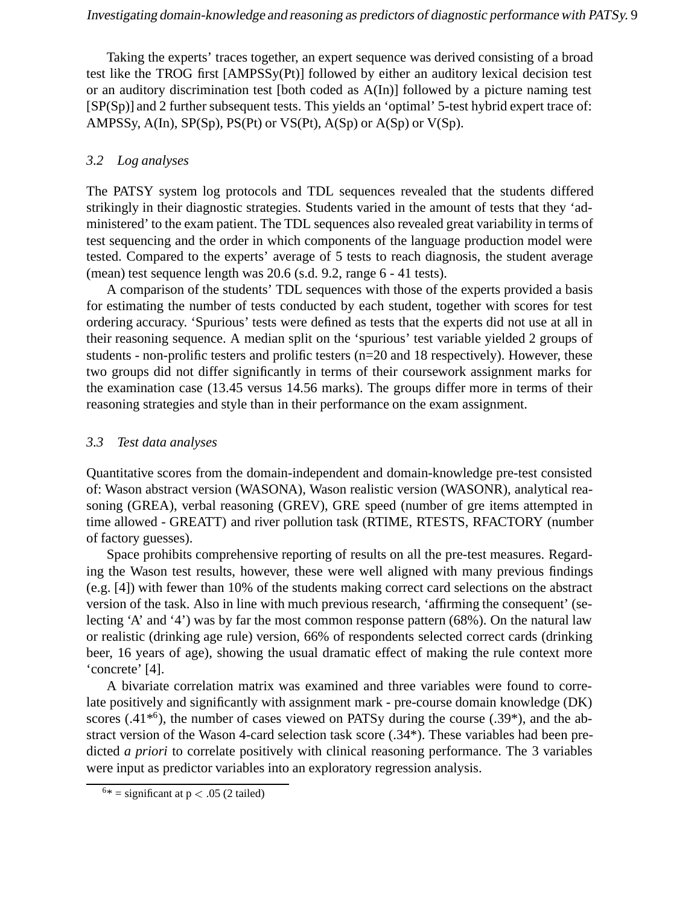Taking the experts' traces together, an expert sequence was derived consisting of a broad test like the TROG first [AMPSSy(Pt)] followed by either an auditory lexical decision test or an auditory discrimination test [both coded as A(In)] followed by a picture naming test [SP(Sp)] and 2 further subsequent tests. This yields an 'optimal' 5-test hybrid expert trace of: AMPSSy,  $A(In)$ ,  $SP(Sp)$ ,  $PS(Pt)$  or  $VS(Pt)$ ,  $A(Sp)$  or  $A(Sp)$  or  $V(Sp)$ .

# *3.2 Log analyses*

The PATSY system log protocols and TDL sequences revealed that the students differed strikingly in their diagnostic strategies. Students varied in the amount of tests that they 'administered' to the exam patient. The TDL sequences also revealed great variability in terms of test sequencing and the order in which components of the language production model were tested. Compared to the experts' average of 5 tests to reach diagnosis, the student average (mean) test sequence length was 20.6 (s.d. 9.2, range 6 - 41 tests).

A comparison of the students' TDL sequences with those of the experts provided a basis for estimating the number of tests conducted by each student, together with scores for test ordering accuracy. 'Spurious' tests were defined as tests that the experts did not use at all in their reasoning sequence. A median split on the 'spurious' test variable yielded 2 groups of students - non-prolific testers and prolific testers ( $n=20$  and 18 respectively). However, these two groups did not differ significantly in terms of their coursework assignment marks for the examination case (13.45 versus 14.56 marks). The groups differ more in terms of their reasoning strategies and style than in their performance on the exam assignment.

## *3.3 Test data analyses*

Quantitative scores from the domain-independent and domain-knowledge pre-test consisted of: Wason abstract version (WASONA), Wason realistic version (WASONR), analytical reasoning (GREA), verbal reasoning (GREV), GRE speed (number of gre items attempted in time allowed - GREATT) and river pollution task (RTIME, RTESTS, RFACTORY (number of factory guesses).

Space prohibits comprehensive reporting of results on all the pre-test measures. Regarding the Wason test results, however, these were well aligned with many previous findings (e.g. [4]) with fewer than 10% of the students making correct card selections on the abstract version of the task. Also in line with much previous research, 'affirming the consequent' (selecting 'A' and '4') was by far the most common response pattern (68%). On the natural law or realistic (drinking age rule) version, 66% of respondents selected correct cards (drinking beer, 16 years of age), showing the usual dramatic effect of making the rule context more 'concrete' [4].

A bivariate correlation matrix was examined and three variables were found to correlate positively and significantly with assignment mark - pre-course domain knowledge (DK) scores  $(.41^{*6})$ , the number of cases viewed on PATSy during the course  $(.39^*)$ , and the abstract version of the Wason 4-card selection task score (.34\*). These variables had been predicted *a priori* to correlate positively with clinical reasoning performance. The 3 variables were input as predictor variables into an exploratory regression analysis.

 $6*$  = significant at p < .05 (2 tailed)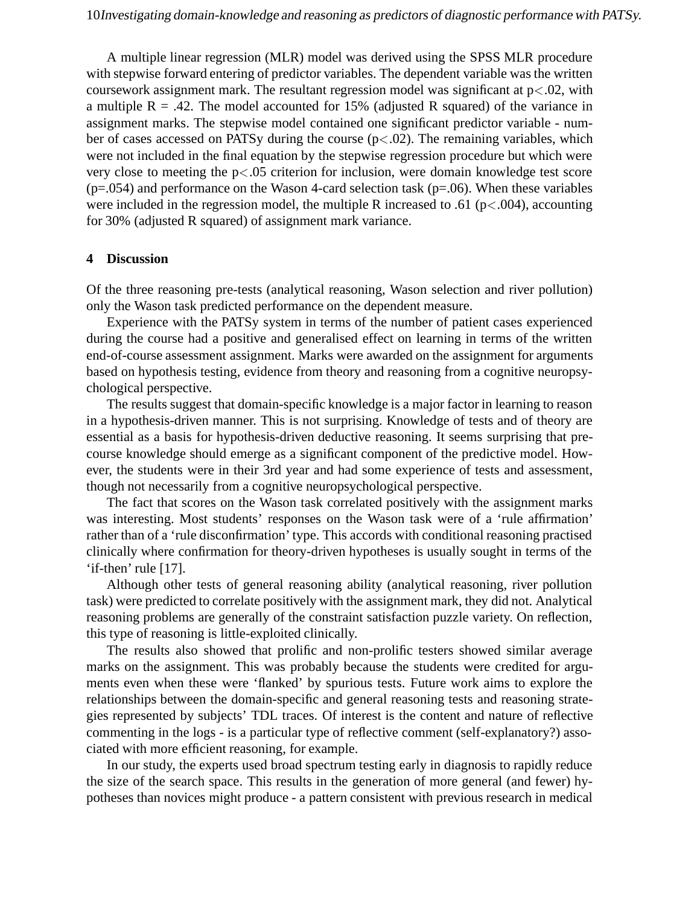A multiple linear regression (MLR) model was derived using the SPSS MLR procedure with stepwise forward entering of predictor variables. The dependent variable was the written coursework assignment mark. The resultant regression model was significant at  $p<0.02$ , with a multiple  $R = .42$ . The model accounted for 15% (adjusted R squared) of the variance in assignment marks. The stepwise model contained one significant predictor variable - number of cases accessed on PATSy during the course  $(p<0.02)$ . The remaining variables, which were not included in the final equation by the stepwise regression procedure but which were very close to meeting the  $p<0.05$  criterion for inclusion, were domain knowledge test score  $(p=.054)$  and performance on the Wason 4-card selection task  $(p=.06)$ . When these variables were included in the regression model, the multiple R increased to .61 ( $p$ <.004), accounting for 30% (adjusted R squared) of assignment mark variance.

## **4 Discussion**

Of the three reasoning pre-tests (analytical reasoning, Wason selection and river pollution) only the Wason task predicted performance on the dependent measure.

Experience with the PATSy system in terms of the number of patient cases experienced during the course had a positive and generalised effect on learning in terms of the written end-of-course assessment assignment. Marks were awarded on the assignment for arguments based on hypothesis testing, evidence from theory and reasoning from a cognitive neuropsychological perspective.

The results suggest that domain-specific knowledge is a major factor in learning to reason in a hypothesis-driven manner. This is not surprising. Knowledge of tests and of theory are essential as a basis for hypothesis-driven deductive reasoning. It seems surprising that precourse knowledge should emerge as a significant component of the predictive model. However, the students were in their 3rd year and had some experience of tests and assessment, though not necessarily from a cognitive neuropsychological perspective.

The fact that scores on the Wason task correlated positively with the assignment marks was interesting. Most students' responses on the Wason task were of a 'rule affirmation' rather than of a 'rule disconfirmation' type. This accords with conditional reasoning practised clinically where confirmation for theory-driven hypotheses is usually sought in terms of the 'if-then' rule [17].

Although other tests of general reasoning ability (analytical reasoning, river pollution task) were predicted to correlate positively with the assignment mark, they did not. Analytical reasoning problems are generally of the constraint satisfaction puzzle variety. On reflection, this type of reasoning is little-exploited clinically.

The results also showed that prolific and non-prolific testers showed similar average marks on the assignment. This was probably because the students were credited for arguments even when these were 'flanked' by spurious tests. Future work aims to explore the relationships between the domain-specific and general reasoning tests and reasoning strategies represented by subjects' TDL traces. Of interest is the content and nature of reflective commenting in the logs - is a particular type of reflective comment (self-explanatory?) associated with more efficient reasoning, for example.

In our study, the experts used broad spectrum testing early in diagnosis to rapidly reduce the size of the search space. This results in the generation of more general (and fewer) hypotheses than novices might produce - a pattern consistent with previous research in medical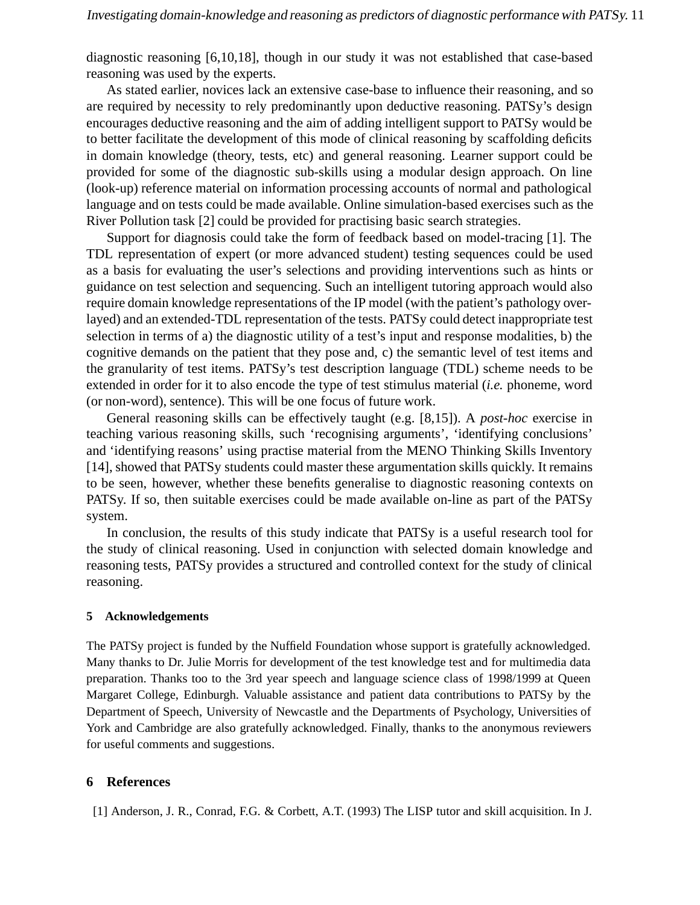diagnostic reasoning [6,10,18], though in our study it was not established that case-based reasoning was used by the experts.

As stated earlier, novices lack an extensive case-base to influence their reasoning, and so are required by necessity to rely predominantly upon deductive reasoning. PATSy's design encourages deductive reasoning and the aim of adding intelligent support to PATSy would be to better facilitate the development of this mode of clinical reasoning by scaffolding deficits in domain knowledge (theory, tests, etc) and general reasoning. Learner support could be provided for some of the diagnostic sub-skills using a modular design approach. On line (look-up) reference material on information processing accounts of normal and pathological language and on tests could be made available. Online simulation-based exercises such as the River Pollution task [2] could be provided for practising basic search strategies.

Support for diagnosis could take the form of feedback based on model-tracing [1]. The TDL representation of expert (or more advanced student) testing sequences could be used as a basis for evaluating the user's selections and providing interventions such as hints or guidance on test selection and sequencing. Such an intelligent tutoring approach would also require domain knowledge representations of the IP model (with the patient's pathology overlayed) and an extended-TDL representation of the tests. PATSy could detect inappropriate test selection in terms of a) the diagnostic utility of a test's input and response modalities, b) the cognitive demands on the patient that they pose and, c) the semantic level of test items and the granularity of test items. PATSy's test description language (TDL) scheme needs to be extended in order for it to also encode the type of test stimulus material (*i.e.* phoneme, word (or non-word), sentence). This will be one focus of future work.

General reasoning skills can be effectively taught (e.g. [8,15]). A *post-hoc* exercise in teaching various reasoning skills, such 'recognising arguments', 'identifying conclusions' and 'identifying reasons' using practise material from the MENO Thinking Skills Inventory [14], showed that PATSy students could master these argumentation skills quickly. It remains to be seen, however, whether these benefits generalise to diagnostic reasoning contexts on PATSy. If so, then suitable exercises could be made available on-line as part of the PATSy system.

In conclusion, the results of this study indicate that PATSy is a useful research tool for the study of clinical reasoning. Used in conjunction with selected domain knowledge and reasoning tests, PATSy provides a structured and controlled context for the study of clinical reasoning.

#### **5 Acknowledgements**

The PATSy project is funded by the Nuffield Foundation whose support is gratefully acknowledged. Many thanks to Dr. Julie Morris for development of the test knowledge test and for multimedia data preparation. Thanks too to the 3rd year speech and language science class of 1998/1999 at Queen Margaret College, Edinburgh. Valuable assistance and patient data contributions to PATSy by the Department of Speech, University of Newcastle and the Departments of Psychology, Universities of York and Cambridge are also gratefully acknowledged. Finally, thanks to the anonymous reviewers for useful comments and suggestions.

## **6 References**

[1] Anderson, J. R., Conrad, F.G. & Corbett, A.T. (1993) The LISP tutor and skill acquisition. In J.